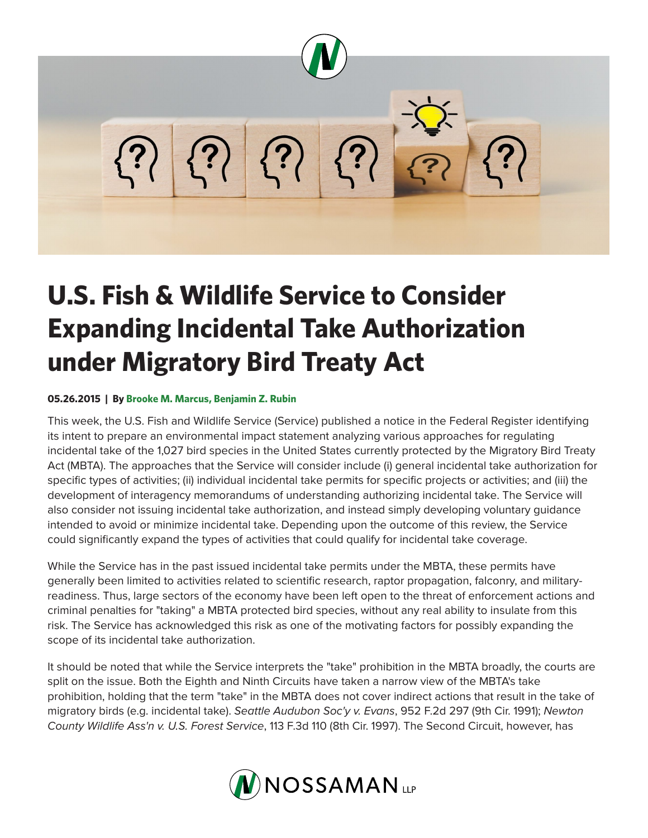

## **U.S. Fish & Wildlife Service to Consider Expanding Incidental Take Authorization under Migratory Bird Treaty Act**

## **05.26.2015 | By Brooke M. Marcus, Benjamin Z. Rubin**

This week, the U.S. Fish and Wildlife Service (Service) published a notice in the Federal Register identifying its intent to prepare an environmental impact statement analyzing various approaches for regulating incidental take of the 1,027 bird species in the United States currently protected by the Migratory Bird Treaty Act (MBTA). The approaches that the Service will consider include (i) general incidental take authorization for specific types of activities; (ii) individual incidental take permits for specific projects or activities; and (iii) the development of interagency memorandums of understanding authorizing incidental take. The Service will also consider not issuing incidental take authorization, and instead simply developing voluntary guidance intended to avoid or minimize incidental take. Depending upon the outcome of this review, the Service could significantly expand the types of activities that could qualify for incidental take coverage.

While the Service has in the past issued incidental take permits under the MBTA, these permits have generally been limited to activities related to scientific research, raptor propagation, falconry, and militaryreadiness. Thus, large sectors of the economy have been left open to the threat of enforcement actions and criminal penalties for "taking" a MBTA protected bird species, without any real ability to insulate from this risk. The Service has acknowledged this risk as one of the motivating factors for possibly expanding the scope of its incidental take authorization.

It should be noted that while the Service interprets the "take" prohibition in the MBTA broadly, the courts are split on the issue. Both the Eighth and Ninth Circuits have taken a narrow view of the MBTA's take prohibition, holding that the term "take" in the MBTA does not cover indirect actions that result in the take of migratory birds (e.g. incidental take). *Seattle Audubon Soc'y v. Evans*, 952 F.2d 297 (9th Cir. 1991); *Newton County Wildlife Ass'n v. U.S. Forest Service*, 113 F.3d 110 (8th Cir. 1997). The Second Circuit, however, has